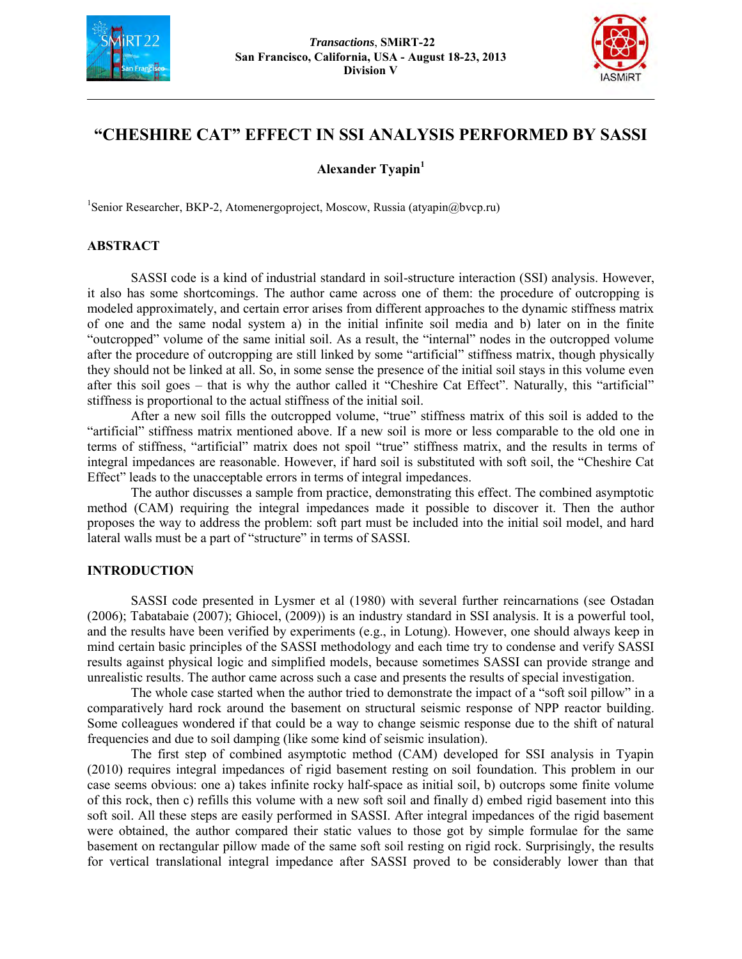



# **"CHESHIRE CAT" EFFECT IN SSI ANALYSIS PERFORMED BY SASSI**

**Alexander Tyapin<sup>1</sup>**

1 Senior Researcher, BKP-2, Atomenergoproject, Moscow, Russia (atyapin@bvcp.ru)

# **ABSTRACT**

SASSI code is a kind of industrial standard in soil-structure interaction (SSI) analysis. However, it also has some shortcomings. The author came across one of them: the procedure of outcropping is modeled approximately, and certain error arises from different approaches to the dynamic stiffness matrix of one and the same nodal system a) in the initial infinite soil media and b) later on in the finite "outcropped" volume of the same initial soil. As a result, the "internal" nodes in the outcropped volume after the procedure of outcropping are still linked by some "artificial" stiffness matrix, though physically they should not be linked at all. So, in some sense the presence of the initial soil stays in this volume even after this soil goes – that is why the author called it "Cheshire Cat Effect". Naturally, this "artificial" stiffness is proportional to the actual stiffness of the initial soil.

After a new soil fills the outcropped volume, "true" stiffness matrix of this soil is added to the "artificial" stiffness matrix mentioned above. If a new soil is more or less comparable to the old one in terms of stiffness, "artificial" matrix does not spoil "true" stiffness matrix, and the results in terms of integral impedances are reasonable. However, if hard soil is substituted with soft soil, the "Cheshire Cat Effect" leads to the unacceptable errors in terms of integral impedances.

The author discusses a sample from practice, demonstrating this effect. The combined asymptotic method (CAM) requiring the integral impedances made it possible to discover it. Then the author proposes the way to address the problem: soft part must be included into the initial soil model, and hard lateral walls must be a part of "structure" in terms of SASSI.

# **INTRODUCTION**

SASSI code presented in Lysmer et al (1980) with several further reincarnations (see Ostadan (2006); Tabatabaie (2007); Ghiocel, (2009)) is an industry standard in SSI analysis. It is a powerful tool, and the results have been verified by experiments (e.g., in Lotung). However, one should always keep in mind certain basic principles of the SASSI methodology and each time try to condense and verify SASSI results against physical logic and simplified models, because sometimes SASSI can provide strange and unrealistic results. The author came across such a case and presents the results of special investigation.

The whole case started when the author tried to demonstrate the impact of a "soft soil pillow" in a comparatively hard rock around the basement on structural seismic response of NPP reactor building. Some colleagues wondered if that could be a way to change seismic response due to the shift of natural frequencies and due to soil damping (like some kind of seismic insulation).

The first step of combined asymptotic method (CAM) developed for SSI analysis in Tyapin (2010) requires integral impedances of rigid basement resting on soil foundation. This problem in our case seems obvious: one a) takes infinite rocky half-space as initial soil, b) outcrops some finite volume of this rock, then c) refills this volume with a new soft soil and finally d) embed rigid basement into this soft soil. All these steps are easily performed in SASSI. After integral impedances of the rigid basement were obtained, the author compared their static values to those got by simple formulae for the same basement on rectangular pillow made of the same soft soil resting on rigid rock. Surprisingly, the results for vertical translational integral impedance after SASSI proved to be considerably lower than that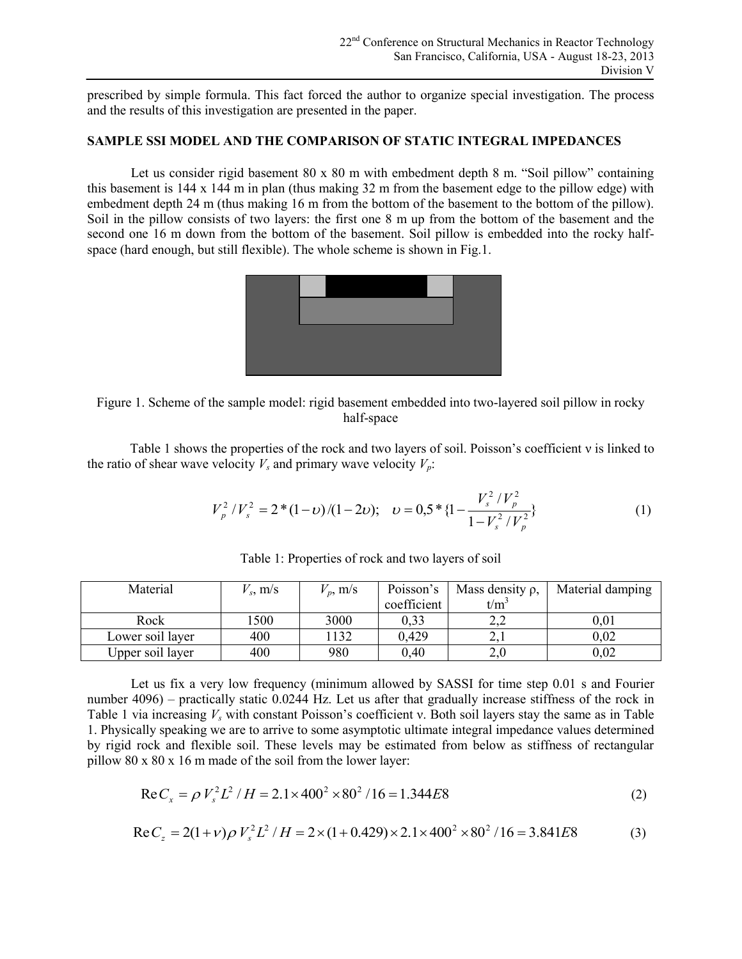prescribed by simple formula. This fact forced the author to organize special investigation. The process and the results of this investigation are presented in the paper.

#### **SAMPLE SSI MODEL AND THE COMPARISON OF STATIC INTEGRAL IMPEDANCES**

Let us consider rigid basement 80 x 80 m with embedment depth 8 m. "Soil pillow" containing this basement is 144 x 144 m in plan (thus making 32 m from the basement edge to the pillow edge) with embedment depth 24 m (thus making 16 m from the bottom of the basement to the bottom of the pillow). Soil in the pillow consists of two layers: the first one 8 m up from the bottom of the basement and the second one 16 m down from the bottom of the basement. Soil pillow is embedded into the rocky halfspace (hard enough, but still flexible). The whole scheme is shown in Fig.1.



Figure 1. Scheme of the sample model: rigid basement embedded into two-layered soil pillow in rocky half-space

Table 1 shows the properties of the rock and two layers of soil. Poisson's coefficient ν is linked to the ratio of shear wave velocity  $V_s$  and primary wave velocity  $V_p$ :

$$
V_p^2/V_s^2 = 2*(1-\nu)/(1-2\nu); \quad \nu = 0.5 * \{1 - \frac{V_s^2/V_p^2}{1 - V_s^2/V_p^2}\}\tag{1}
$$

| Material         | $V_s$ , m/s | $V_p$ , m/s | Poisson's   | Mass density $\rho$ , | Material damping |
|------------------|-------------|-------------|-------------|-----------------------|------------------|
|                  |             |             | coefficient | $t/m^2$               |                  |
| Rock             | 1500        | 3000        | 0.33        |                       | $\rm 0.01$       |
| Lower soil layer | 400         | 1132        | 0,429       |                       | 0.02             |
| Upper soil layer | 400         | 980         | 0,40        | 2.0                   | 0.02             |

Table 1: Properties of rock and two layers of soil

Let us fix a very low frequency (minimum allowed by SASSI for time step 0.01 s and Fourier number 4096) – practically static 0.0244 Hz. Let us after that gradually increase stiffness of the rock in Table 1 via increasing  $V_s$  with constant Poisson's coefficient v. Both soil layers stay the same as in Table 1. Physically speaking we are to arrive to some asymptotic ultimate integral impedance values determined by rigid rock and flexible soil. These levels may be estimated from below as stiffness of rectangular pillow 80 x 80 x 16 m made of the soil from the lower layer:

$$
\text{Re}\,C_x = \rho \, V_s^2 L^2 / H = 2.1 \times 400^2 \times 80^2 / 16 = 1.344 E8\tag{2}
$$

$$
\text{Re}\,C_z = 2(1+\nu)\rho\,V_s^2L^2/H = 2 \times (1+0.429) \times 2.1 \times 400^2 \times 80^2/16 = 3.841E8\tag{3}
$$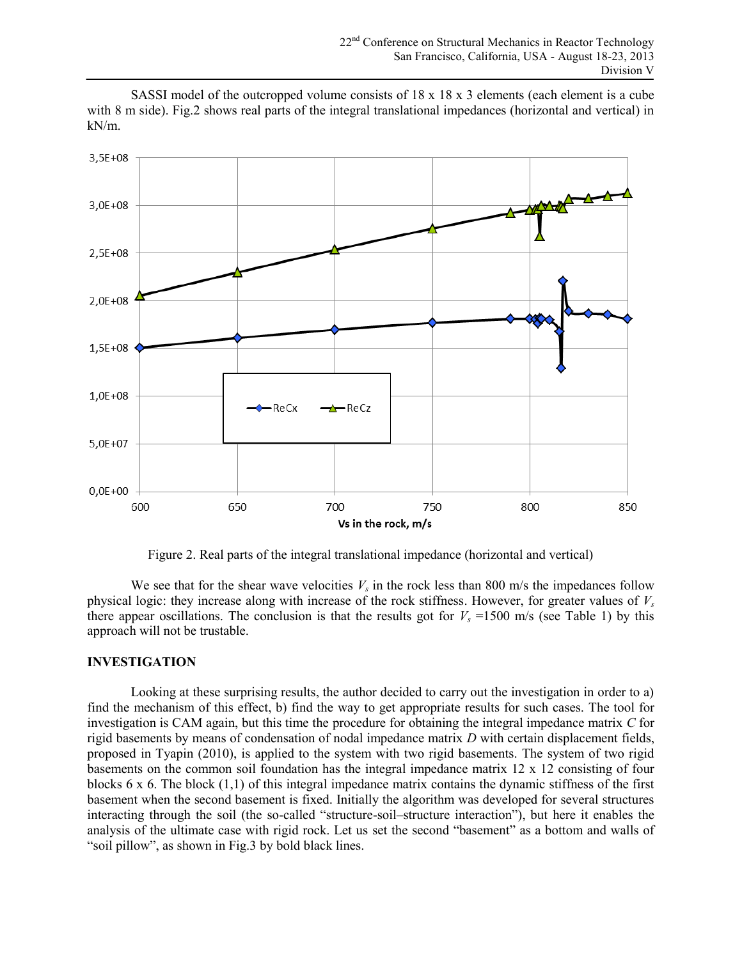SASSI model of the outcropped volume consists of  $18 \times 18 \times 3$  elements (each element is a cube with 8 m side). Fig.2 shows real parts of the integral translational impedances (horizontal and vertical) in kN/m.



Figure 2. Real parts of the integral translational impedance (horizontal and vertical)

We see that for the shear wave velocities  $V_s$  in the rock less than 800 m/s the impedances follow physical logic: they increase along with increase of the rock stiffness. However, for greater values of *V<sup>s</sup>* there appear oscillations. The conclusion is that the results got for  $V_s = 1500$  m/s (see Table 1) by this approach will not be trustable.

# **INVESTIGATION**

Looking at these surprising results, the author decided to carry out the investigation in order to a) find the mechanism of this effect, b) find the way to get appropriate results for such cases. The tool for investigation is CAM again, but this time the procedure for obtaining the integral impedance matrix *C* for rigid basements by means of condensation of nodal impedance matrix *D* with certain displacement fields, proposed in Tyapin (2010), is applied to the system with two rigid basements. The system of two rigid basements on the common soil foundation has the integral impedance matrix 12 x 12 consisting of four blocks  $6 \times 6$ . The block  $(1,1)$  of this integral impedance matrix contains the dynamic stiffness of the first basement when the second basement is fixed. Initially the algorithm was developed for several structures interacting through the soil (the so-called "structure-soil–structure interaction"), but here it enables the analysis of the ultimate case with rigid rock. Let us set the second "basement" as a bottom and walls of "soil pillow", as shown in Fig.3 by bold black lines.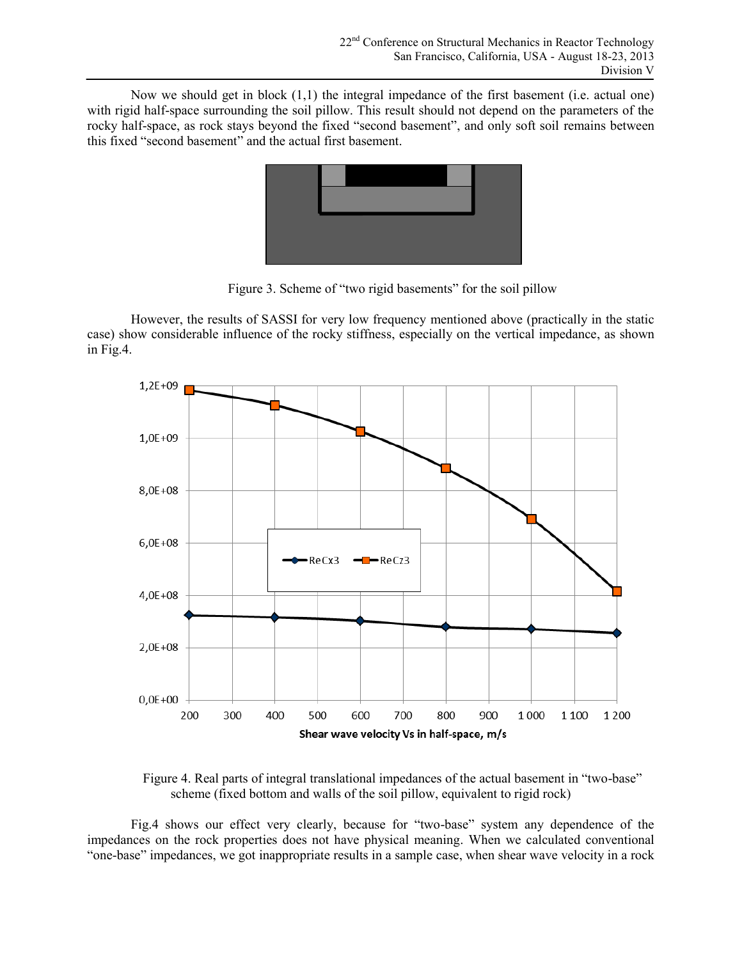Now we should get in block (1,1) the integral impedance of the first basement (i.e. actual one) with rigid half-space surrounding the soil pillow. This result should not depend on the parameters of the rocky half-space, as rock stays beyond the fixed "second basement", and only soft soil remains between this fixed "second basement" and the actual first basement.



Figure 3. Scheme of "two rigid basements" for the soil pillow

However, the results of SASSI for very low frequency mentioned above (practically in the static case) show considerable influence of the rocky stiffness, especially on the vertical impedance, as shown in Fig.4.



Figure 4. Real parts of integral translational impedances of the actual basement in "two-base" scheme (fixed bottom and walls of the soil pillow, equivalent to rigid rock)

Fig.4 shows our effect very clearly, because for "two-base" system any dependence of the impedances on the rock properties does not have physical meaning. When we calculated conventional "one-base" impedances, we got inappropriate results in a sample case, when shear wave velocity in a rock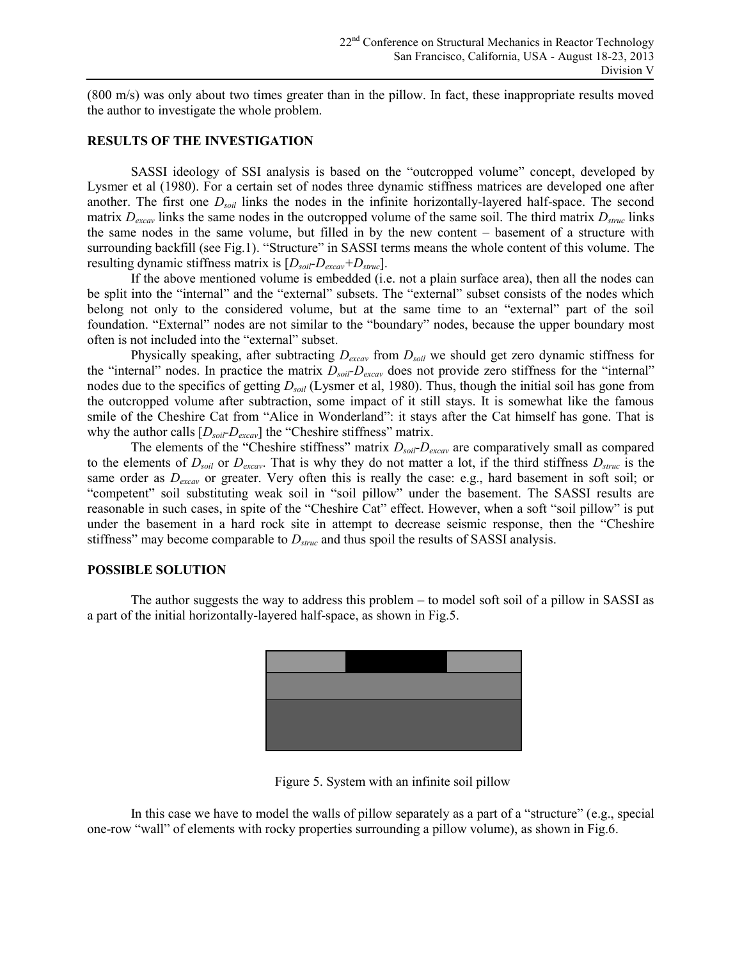(800 m/s) was only about two times greater than in the pillow. In fact, these inappropriate results moved the author to investigate the whole problem.

#### **RESULTS OF THE INVESTIGATION**

SASSI ideology of SSI analysis is based on the "outcropped volume" concept, developed by Lysmer et al (1980). For a certain set of nodes three dynamic stiffness matrices are developed one after another. The first one *Dsoil* links the nodes in the infinite horizontally-layered half-space. The second matrix *Dexcav* links the same nodes in the outcropped volume of the same soil. The third matrix *Dstruc* links the same nodes in the same volume, but filled in by the new content – basement of a structure with surrounding backfill (see Fig.1). "Structure" in SASSI terms means the whole content of this volume. The resulting dynamic stiffness matrix is  $[D_{\textit{soil}}-D_{\textit{excav}}+D_{\textit{struc}}]$ .

If the above mentioned volume is embedded (i.e. not a plain surface area), then all the nodes can be split into the "internal" and the "external" subsets. The "external" subset consists of the nodes which belong not only to the considered volume, but at the same time to an "external" part of the soil foundation. "External" nodes are not similar to the "boundary" nodes, because the upper boundary most often is not included into the "external" subset.

Physically speaking, after subtracting *Dexcav* from *Dsoil* we should get zero dynamic stiffness for the "internal" nodes. In practice the matrix *Dsoil-Dexcav* does not provide zero stiffness for the "internal" nodes due to the specifics of getting  $D_{soli}$  (Lysmer et al, 1980). Thus, though the initial soil has gone from the outcropped volume after subtraction, some impact of it still stays. It is somewhat like the famous smile of the Cheshire Cat from "Alice in Wonderland": it stays after the Cat himself has gone. That is why the author calls  $[D_{soil}D_{excav}]$  the "Cheshire stiffness" matrix.

The elements of the "Cheshire stiffness" matrix  $D_{\text{soil}}$ *-D*<sub>excav</sub> are comparatively small as compared to the elements of  $D_{soli}$  or  $D_{excav}$ . That is why they do not matter a lot, if the third stiffness  $D_{struc}$  is the same order as *Dexcav* or greater. Very often this is really the case: e.g., hard basement in soft soil; or "competent" soil substituting weak soil in "soil pillow" under the basement. The SASSI results are reasonable in such cases, in spite of the "Cheshire Cat" effect. However, when a soft "soil pillow" is put under the basement in a hard rock site in attempt to decrease seismic response, then the "Cheshire stiffness" may become comparable to *Dstruc* and thus spoil the results of SASSI analysis.

#### **POSSIBLE SOLUTION**

The author suggests the way to address this problem – to model soft soil of a pillow in SASSI as a part of the initial horizontally-layered half-space, as shown in Fig.5.



Figure 5. System with an infinite soil pillow

In this case we have to model the walls of pillow separately as a part of a "structure" (e.g., special one-row "wall" of elements with rocky properties surrounding a pillow volume), as shown in Fig.6.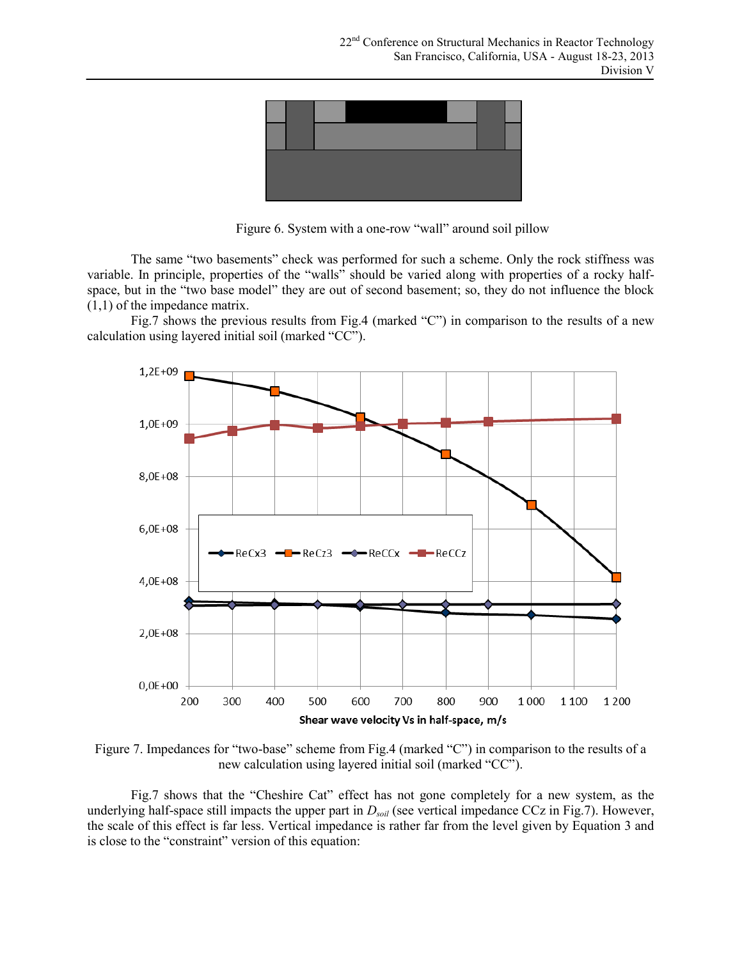

Figure 6. System with a one-row "wall" around soil pillow

The same "two basements" check was performed for such a scheme. Only the rock stiffness was variable. In principle, properties of the "walls" should be varied along with properties of a rocky halfspace, but in the "two base model" they are out of second basement; so, they do not influence the block (1,1) of the impedance matrix.

Fig.7 shows the previous results from Fig.4 (marked "C") in comparison to the results of a new calculation using layered initial soil (marked "CC").



Figure 7. Impedances for "two-base" scheme from Fig.4 (marked "C") in comparison to the results of a new calculation using layered initial soil (marked "CC").

Fig.7 shows that the "Cheshire Cat" effect has not gone completely for a new system, as the underlying half-space still impacts the upper part in  $D_{soli}$  (see vertical impedance CCz in Fig.7). However, the scale of this effect is far less. Vertical impedance is rather far from the level given by Equation 3 and is close to the "constraint" version of this equation: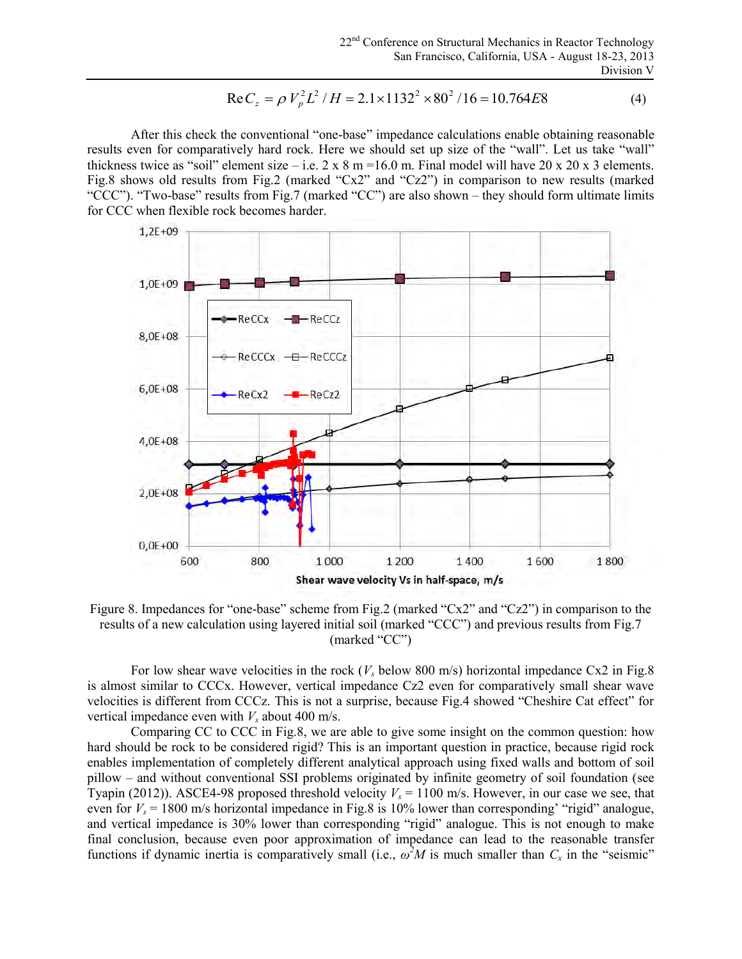$$
\text{Re}\,C_z = \rho \, V_p^2 L^2 / H = 2.1 \times 1132^2 \times 80^2 / 16 = 10.764 E8\tag{4}
$$

After this check the conventional "one-base" impedance calculations enable obtaining reasonable results even for comparatively hard rock. Here we should set up size of the "wall". Let us take "wall" thickness twice as "soil" element size – i.e.  $2 \times 8$  m = 16.0 m. Final model will have  $20 \times 20 \times 3$  elements. Fig.8 shows old results from Fig.2 (marked "Cx2" and "Cz2") in comparison to new results (marked "CCC"). "Two-base" results from Fig.7 (marked "CC") are also shown – they should form ultimate limits for CCC when flexible rock becomes harder.



Figure 8. Impedances for "one-base" scheme from Fig.2 (marked "Cx2" and "Cz2") in comparison to the results of a new calculation using layered initial soil (marked "CCC") and previous results from Fig.7 (marked "CC")

For low shear wave velocities in the rock  $(V_s$  below 800 m/s) horizontal impedance Cx2 in Fig.8 is almost similar to CCCx. However, vertical impedance Cz2 even for comparatively small shear wave velocities is different from CCCz. This is not a surprise, because Fig.4 showed "Cheshire Cat effect" for vertical impedance even with  $V_s$  about 400 m/s.

Comparing CC to CCC in Fig.8, we are able to give some insight on the common question: how hard should be rock to be considered rigid? This is an important question in practice, because rigid rock enables implementation of completely different analytical approach using fixed walls and bottom of soil pillow – and without conventional SSI problems originated by infinite geometry of soil foundation (see Tyapin (2012)). ASCE4-98 proposed threshold velocity  $V_s = 1100$  m/s. However, in our case we see, that even for  $V_s = 1800$  m/s horizontal impedance in Fig.8 is 10% lower than corresponding' "rigid" analogue, and vertical impedance is 30% lower than corresponding "rigid" analogue. This is not enough to make final conclusion, because even poor approximation of impedance can lead to the reasonable transfer functions if dynamic inertia is comparatively small (i.e.,  $\omega^2 M$  is much smaller than  $C_x$  in the "seismic"